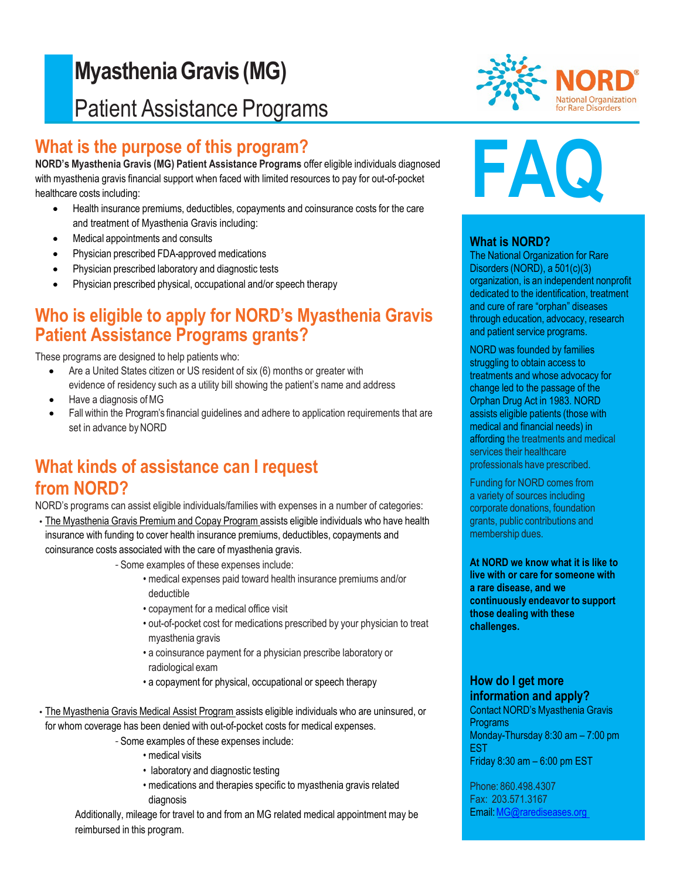# **MyastheniaGravis (MG)** Patient Assistance Programs

## **What is the purpose of this program?**

**NORD's Myasthenia Gravis (MG) Patient Assistance Programs** offer eligible individuals diagnosed with myasthenia gravis financial support when faced with limited resources to pay for out-of-pocket healthcare costs including:

- Health insurance premiums, deductibles, copayments and coinsurance costs for the care and treatment of Myasthenia Gravis including:
- Medical appointments and consults
- Physician prescribed FDA-approved medications
- Physician prescribed laboratory and diagnostic tests
- Physician prescribed physical, occupational and/or speech therapy

### **Who is eligible to apply for NORD's Myasthenia Gravis Patient Assistance Programs grants?**

These programs are designed to help patients who:

- Are a United States citizen or US resident of six (6) months or greater with evidence of residency such as a utility bill showing the patient's name and address
- Have a diagnosis ofMG
- Fall within the Program's financial guidelines and adhere to application requirements that are set in advance by NORD

## **What kinds of assistance can I request from NORD?**

NORD's programs can assist eligible individuals/families with expenses in a number of categories:

- The Myasthenia Gravis Premium and Copay Program assists eligible individuals who have health insurance with funding to cover health insurance premiums, deductibles, copayments and coinsurance costs associated with the care of myasthenia gravis.
	- *-* Some examples of these expenses include:
		- medical expenses paid toward health insurance premiums and/or deductible
		- copayment for a medical office visit
		- out-of-pocket cost for medications prescribed by your physician to treat myasthenia gravis
		- a coinsurance payment for a physician prescribe laboratory or radiological exam
		- a copayment for physical, occupational or speech therapy
- The Myasthenia Gravis Medical Assist Program assists eligible individuals who are uninsured, or for whom coverage has been denied with out-of-pocket costs for medical expenses.
	- *-* Some examples of these expenses include:
		- medical visits
		- laboratory and diagnostic testing
		- medications and therapies specific to myasthenia gravis related diagnosis

Additionally, mileage for travel to and from an MG related medical appointment may be reimbursed in this program.



# **FAQ**

#### **What is NORD?**

The National Organization for Rare Disorders (NORD), a 501(c)(3) organization, is an independent nonprofit dedicated to the identification, treatment and cure of rare "orphan" diseases through education, advocacy, research and patient service programs.

NORD was founded by families struggling to obtain access to treatments and whose advocacy for change led to the passage of the Orphan Drug Act in 1983. NORD assists eligible patients (those with medical and financial needs) in affording the treatments and medical services their healthcare professionals have prescribed.

Funding for NORD comes from a variety of sources including corporate donations, foundation grants, public contributions and membership dues.

**At NORD we know what it is like to live with or care for someone with a rare disease, and we continuously endeavor to support those dealing with these challenges.**

#### **How do I get more information and apply?**

Contact NORD's Myasthenia Gravis **Programs** Monday-Thursday 8:30 am – 7:00 pm EST Friday 8:30 am – 6:00 pm EST

Phone: 860.498.4307 Fax: 203.571.3167 Email[:MG@rarediseases.org](mailto:MG@rarediseases.org)